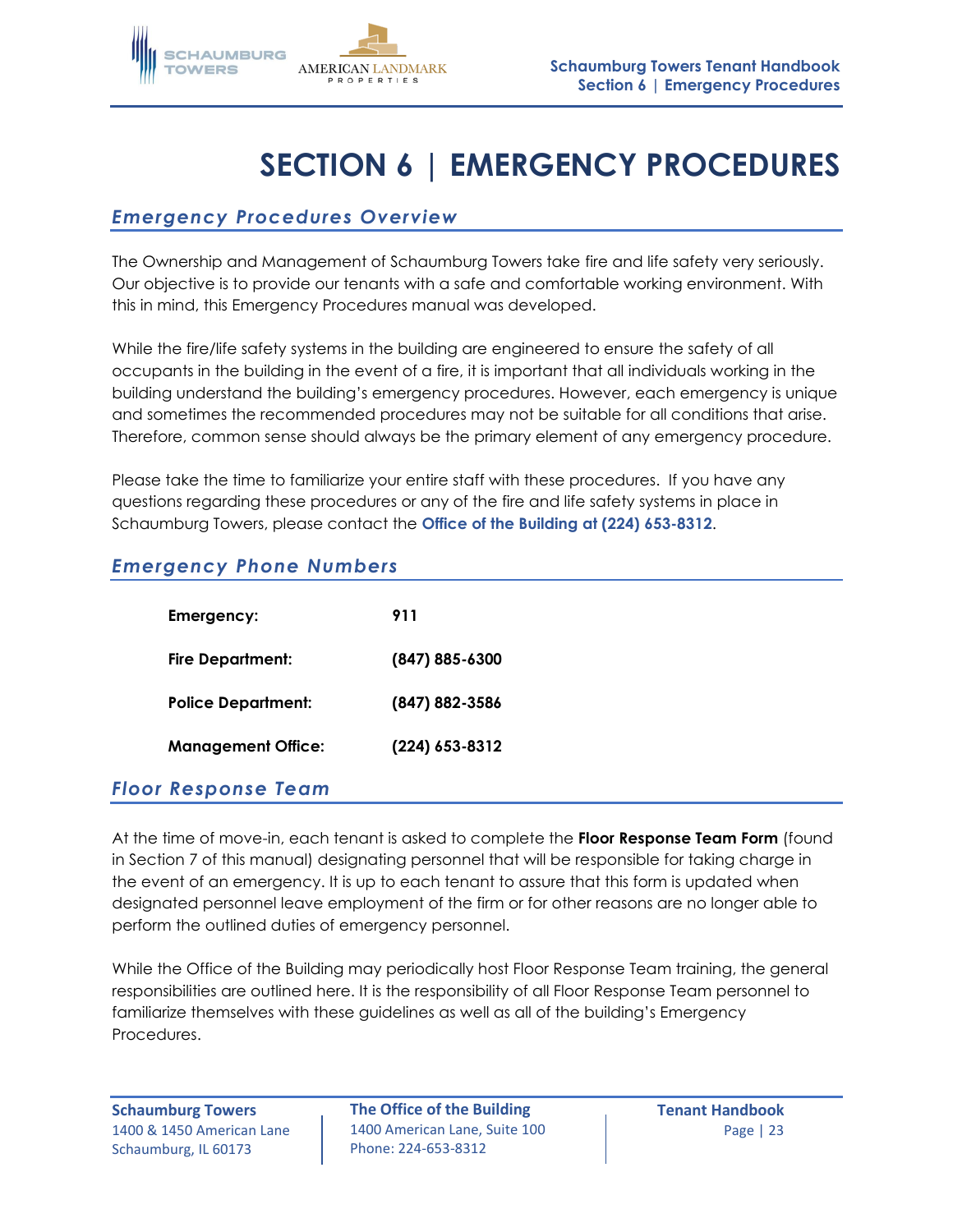

# **SECTION 6 | EMERGENCY PROCEDURES**

# *Emergency Procedures Overview*

The Ownership and Management of Schaumburg Towers take fire and life safety very seriously. Our objective is to provide our tenants with a safe and comfortable working environment. With this in mind, this Emergency Procedures manual was developed.

While the fire/life safety systems in the building are engineered to ensure the safety of all occupants in the building in the event of a fire, it is important that all individuals working in the building understand the building's emergency procedures. However, each emergency is unique and sometimes the recommended procedures may not be suitable for all conditions that arise. Therefore, common sense should always be the primary element of any emergency procedure.

Please take the time to familiarize your entire staff with these procedures. If you have any questions regarding these procedures or any of the fire and life safety systems in place in Schaumburg Towers, please contact the **Office of the Building at (224) 653-8312**.

### *Emergency Phone Numbers*

| Emergency:                | 911                |
|---------------------------|--------------------|
| <b>Fire Department:</b>   | $(847) 885 - 6300$ |
| <b>Police Department:</b> | (847) 882-3586     |
| <b>Management Office:</b> | (224) 653-8312     |

### *Floor Response Team*

At the time of move-in, each tenant is asked to complete the **Floor Response Team Form** (found in Section 7 of this manual) designating personnel that will be responsible for taking charge in the event of an emergency. It is up to each tenant to assure that this form is updated when designated personnel leave employment of the firm or for other reasons are no longer able to perform the outlined duties of emergency personnel.

While the Office of the Building may periodically host Floor Response Team training, the general responsibilities are outlined here. It is the responsibility of all Floor Response Team personnel to familiarize themselves with these guidelines as well as all of the building's Emergency Procedures.

Schaumburg, IL 60173

**Schaumburg Towers The Office of the Building Tenant Handbook** 1400 & 1450 American Lane | 1400 American Lane, Suite 100 | Page | 23 Phone: 224-653-8312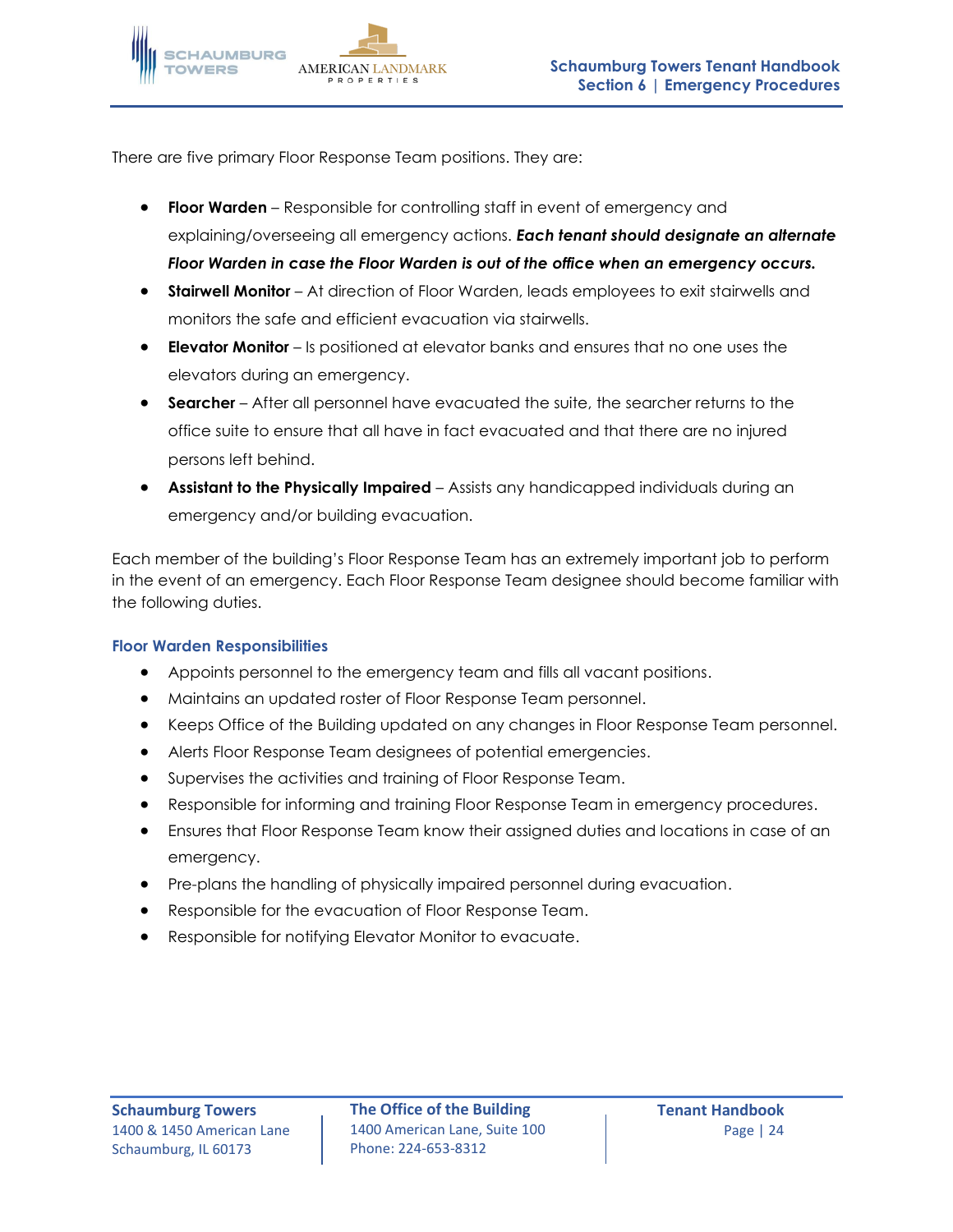There are five primary Floor Response Team positions. They are:

- **Floor Warden** Responsible for controlling staff in event of emergency and explaining/overseeing all emergency actions. *Each tenant should designate an alternate Floor Warden in case the Floor Warden is out of the office when an emergency occurs.*
- **Stairwell Monitor** At direction of Floor Warden, leads employees to exit stairwells and monitors the safe and efficient evacuation via stairwells.
- **Elevator Monitor** Is positioned at elevator banks and ensures that no one uses the elevators during an emergency.
- **Searcher** After all personnel have evacuated the suite, the searcher returns to the office suite to ensure that all have in fact evacuated and that there are no injured persons left behind.
- **Assistant to the Physically Impaired** Assists any handicapped individuals during an emergency and/or building evacuation.

Each member of the building's Floor Response Team has an extremely important job to perform in the event of an emergency. Each Floor Response Team designee should become familiar with the following duties.

### **Floor Warden Responsibilities**

- Appoints personnel to the emergency team and fills all vacant positions.
- Maintains an updated roster of Floor Response Team personnel.
- Keeps Office of the Building updated on any changes in Floor Response Team personnel.
- Alerts Floor Response Team designees of potential emergencies.
- Supervises the activities and training of Floor Response Team.
- Responsible for informing and training Floor Response Team in emergency procedures.
- Ensures that Floor Response Team know their assigned duties and locations in case of an emergency.
- Pre-plans the handling of physically impaired personnel during evacuation.
- Responsible for the evacuation of Floor Response Team.
- Responsible for notifying Elevator Monitor to evacuate.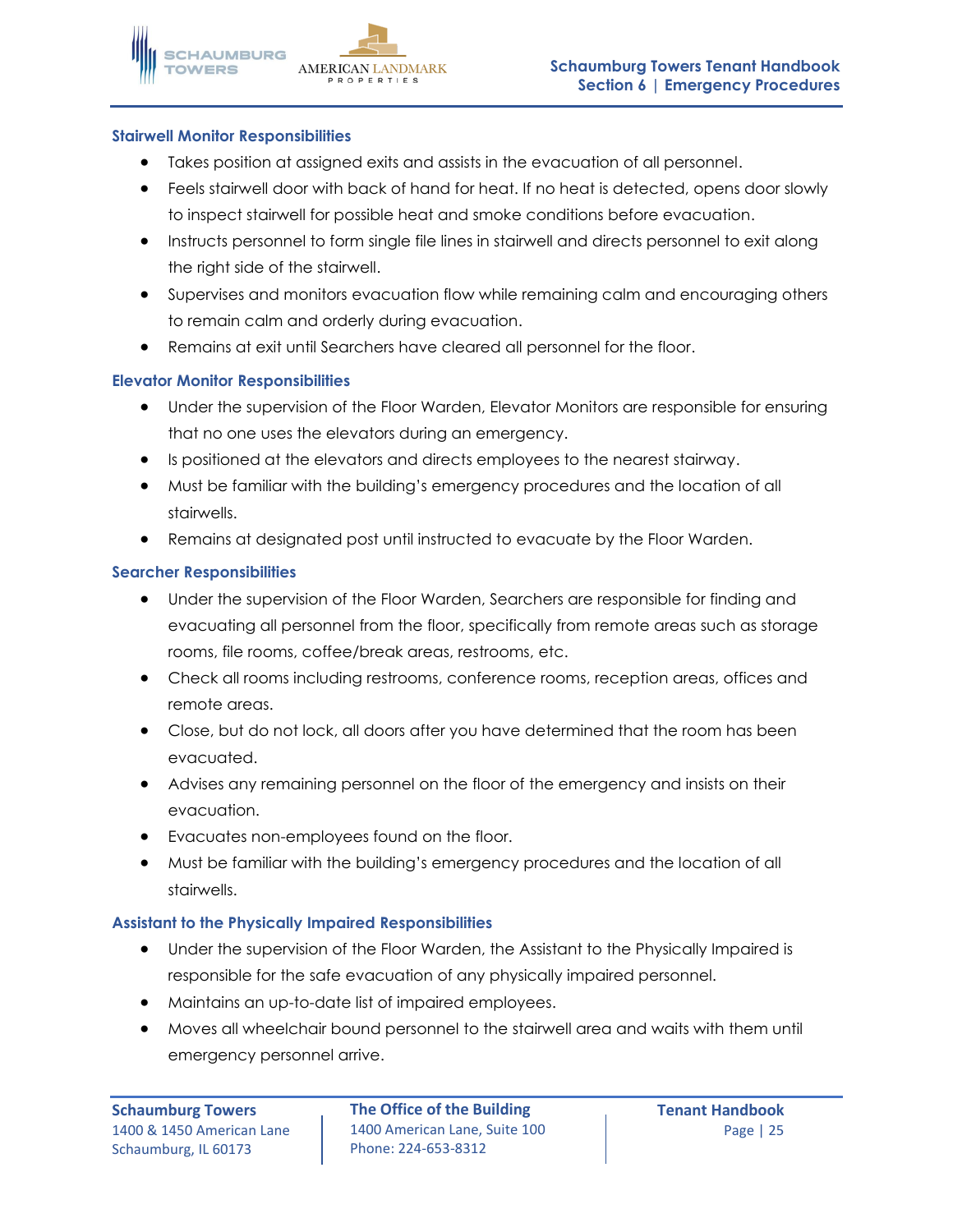### **Stairwell Monitor Responsibilities**

- Takes position at assigned exits and assists in the evacuation of all personnel.
- Feels stairwell door with back of hand for heat. If no heat is detected, opens door slowly to inspect stairwell for possible heat and smoke conditions before evacuation.
- Instructs personnel to form single file lines in stairwell and directs personnel to exit along the right side of the stairwell.
- Supervises and monitors evacuation flow while remaining calm and encouraging others to remain calm and orderly during evacuation.
- Remains at exit until Searchers have cleared all personnel for the floor.

### **Elevator Monitor Responsibilities**

- Under the supervision of the Floor Warden, Elevator Monitors are responsible for ensuring that no one uses the elevators during an emergency.
- Is positioned at the elevators and directs employees to the nearest stairway.
- Must be familiar with the building's emergency procedures and the location of all stairwells.
- Remains at designated post until instructed to evacuate by the Floor Warden.

### **Searcher Responsibilities**

- Under the supervision of the Floor Warden, Searchers are responsible for finding and evacuating all personnel from the floor, specifically from remote areas such as storage rooms, file rooms, coffee/break areas, restrooms, etc.
- Check all rooms including restrooms, conference rooms, reception areas, offices and remote areas.
- Close, but do not lock, all doors after you have determined that the room has been evacuated.
- Advises any remaining personnel on the floor of the emergency and insists on their evacuation.
- Evacuates non-employees found on the floor.
- Must be familiar with the building's emergency procedures and the location of all stairwells.

### **Assistant to the Physically Impaired Responsibilities**

- Under the supervision of the Floor Warden, the Assistant to the Physically Impaired is responsible for the safe evacuation of any physically impaired personnel.
- Maintains an up-to-date list of impaired employees.
- Moves all wheelchair bound personnel to the stairwell area and waits with them until emergency personnel arrive.

**Schaumburg Towers The Office of the Building Tenant Handbook** 1400 & 1450 American Lane | 1400 American Lane, Suite 100 | Page | 25 Phone: 224-653-8312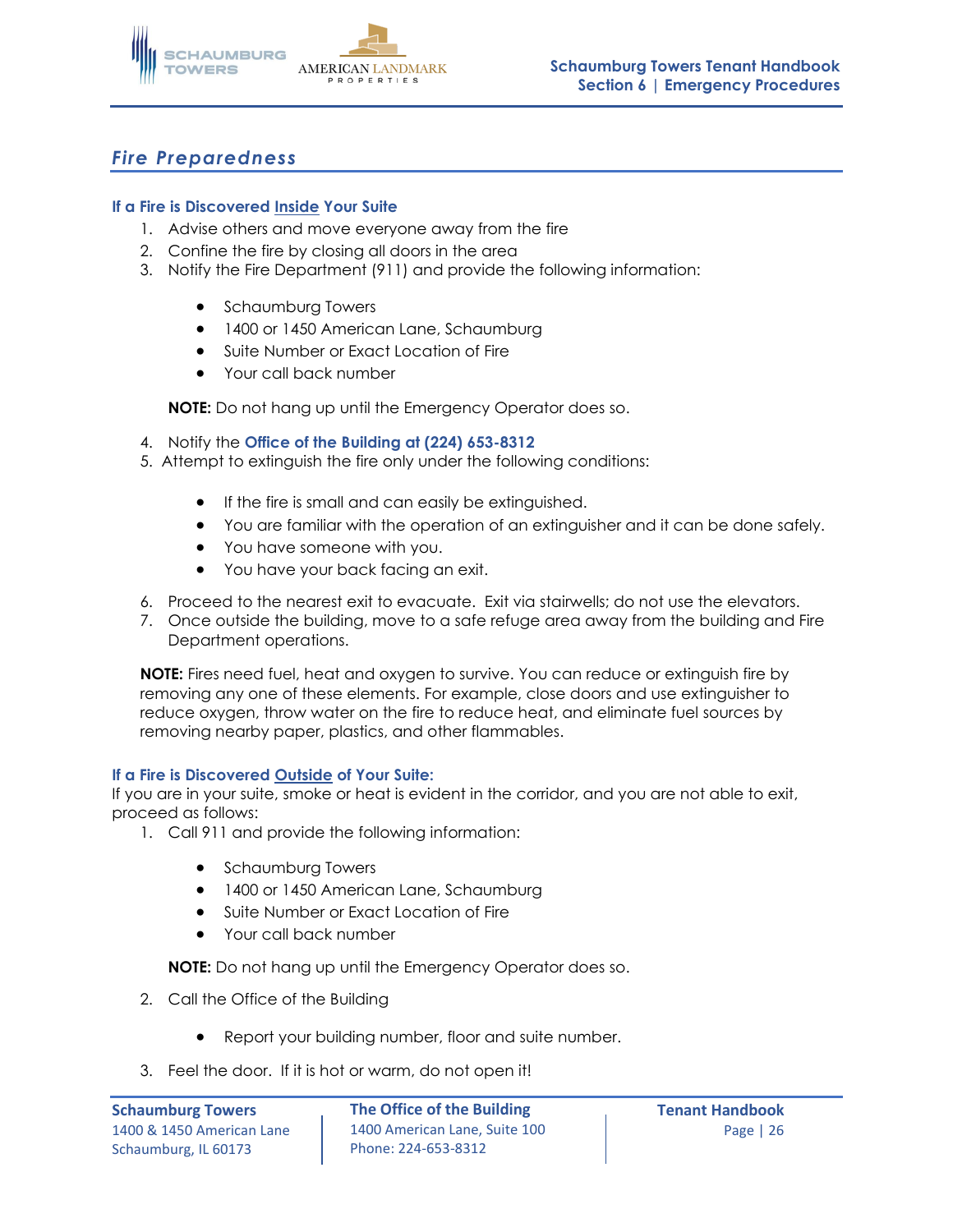

# *Fire Preparedness*

### **If a Fire is Discovered Inside Your Suite**

- 1. Advise others and move everyone away from the fire
- 2. Confine the fire by closing all doors in the area
- 3. Notify the Fire Department (911) and provide the following information:
	- Schaumburg Towers
	- 1400 or 1450 American Lane, Schaumburg
	- Suite Number or Exact Location of Fire
	- Your call back number

**NOTE:** Do not hang up until the Emergency Operator does so.

- 4. Notify the **Office of the Building at (224) 653-8312**
- 5. Attempt to extinguish the fire only under the following conditions:
	- If the fire is small and can easily be extinguished.
	- You are familiar with the operation of an extinguisher and it can be done safely.
	- You have someone with you.
	- You have your back facing an exit.
- 6. Proceed to the nearest exit to evacuate. Exit via stairwells; do not use the elevators.
- 7. Once outside the building, move to a safe refuge area away from the building and Fire Department operations.

**NOTE:** Fires need fuel, heat and oxygen to survive. You can reduce or extinguish fire by removing any one of these elements. For example, close doors and use extinguisher to reduce oxygen, throw water on the fire to reduce heat, and eliminate fuel sources by removing nearby paper, plastics, and other flammables.

### **If a Fire is Discovered Outside of Your Suite:**

If you are in your suite, smoke or heat is evident in the corridor, and you are not able to exit, proceed as follows:

- 1. Call 911 and provide the following information:
	- Schaumburg Towers
	- 1400 or 1450 American Lane, Schaumburg
	- Suite Number or Exact Location of Fire
	- Your call back number

**NOTE:** Do not hang up until the Emergency Operator does so.

- 2. Call the Office of the Building
	- Report your building number, floor and suite number.
- 3. Feel the door. If it is hot or warm, do not open it!

**Schaumburg Towers The Office of the Building Tenant Handbook** 1400 & 1450 American Lane | 1400 American Lane, Suite 100 | North Lange | 26 Phone: 224-653-8312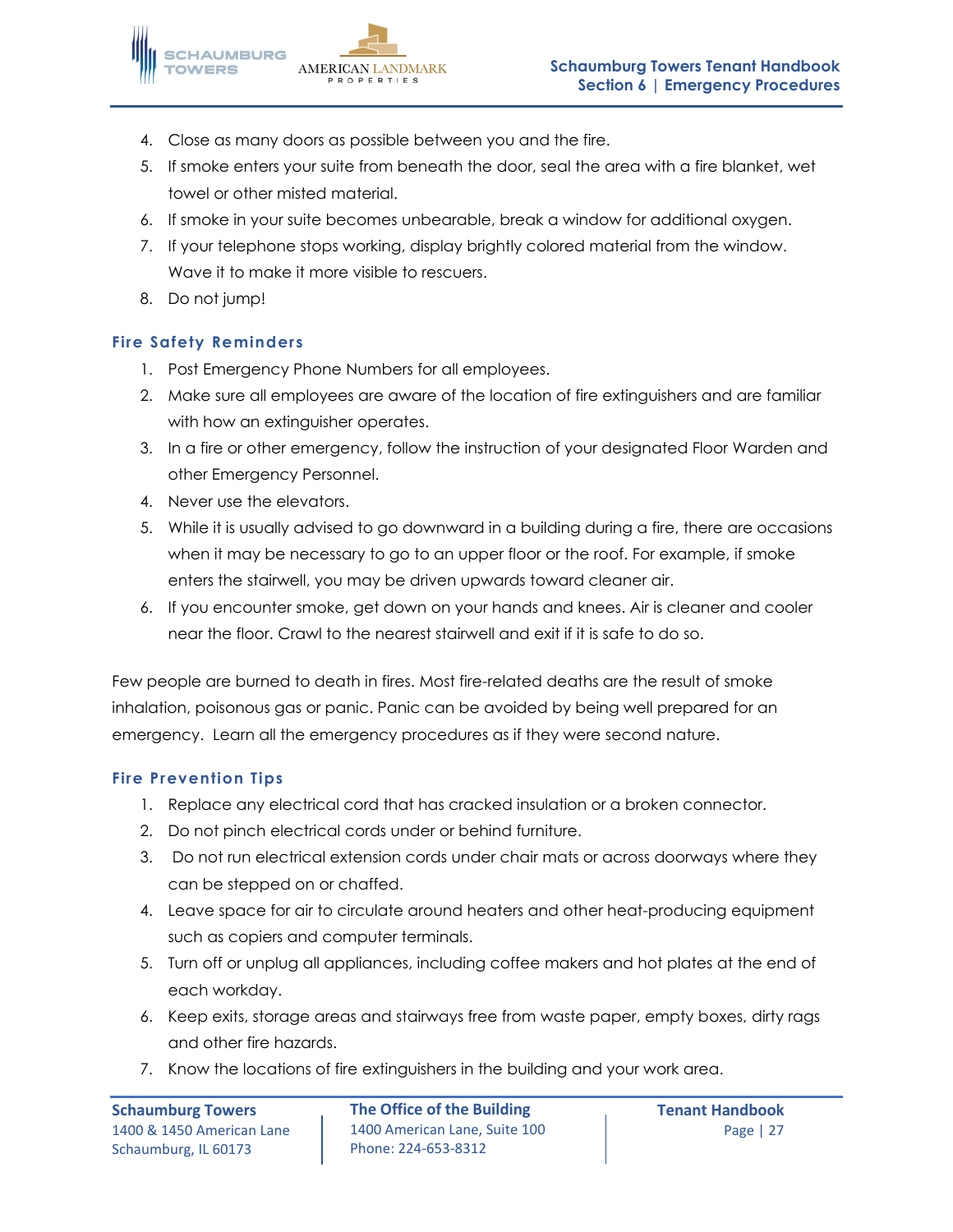- 4. Close as many doors as possible between you and the fire.
- 5. If smoke enters your suite from beneath the door, seal the area with a fire blanket, wet towel or other misted material.
- 6. If smoke in your suite becomes unbearable, break a window for additional oxygen.
- 7. If your telephone stops working, display brightly colored material from the window. Wave it to make it more visible to rescuers.
- 8. Do not jump!

### **Fire Safety Reminders**

- 1. Post Emergency Phone Numbers for all employees.
- 2. Make sure all employees are aware of the location of fire extinguishers and are familiar with how an extinguisher operates.
- 3. In a fire or other emergency, follow the instruction of your designated Floor Warden and other Emergency Personnel.
- 4. Never use the elevators.
- 5. While it is usually advised to go downward in a building during a fire, there are occasions when it may be necessary to go to an upper floor or the roof. For example, if smoke enters the stairwell, you may be driven upwards toward cleaner air.
- 6. If you encounter smoke, get down on your hands and knees. Air is cleaner and cooler near the floor. Crawl to the nearest stairwell and exit if it is safe to do so.

Few people are burned to death in fires. Most fire-related deaths are the result of smoke inhalation, poisonous gas or panic. Panic can be avoided by being well prepared for an emergency. Learn all the emergency procedures as if they were second nature.

### **Fire Prevention Tips**

- 1. Replace any electrical cord that has cracked insulation or a broken connector.
- 2. Do not pinch electrical cords under or behind furniture.
- 3. Do not run electrical extension cords under chair mats or across doorways where they can be stepped on or chaffed.
- 4. Leave space for air to circulate around heaters and other heat-producing equipment such as copiers and computer terminals.
- 5. Turn off or unplug all appliances, including coffee makers and hot plates at the end of each workday.
- 6. Keep exits, storage areas and stairways free from waste paper, empty boxes, dirty rags and other fire hazards.
- 7. Know the locations of fire extinguishers in the building and your work area.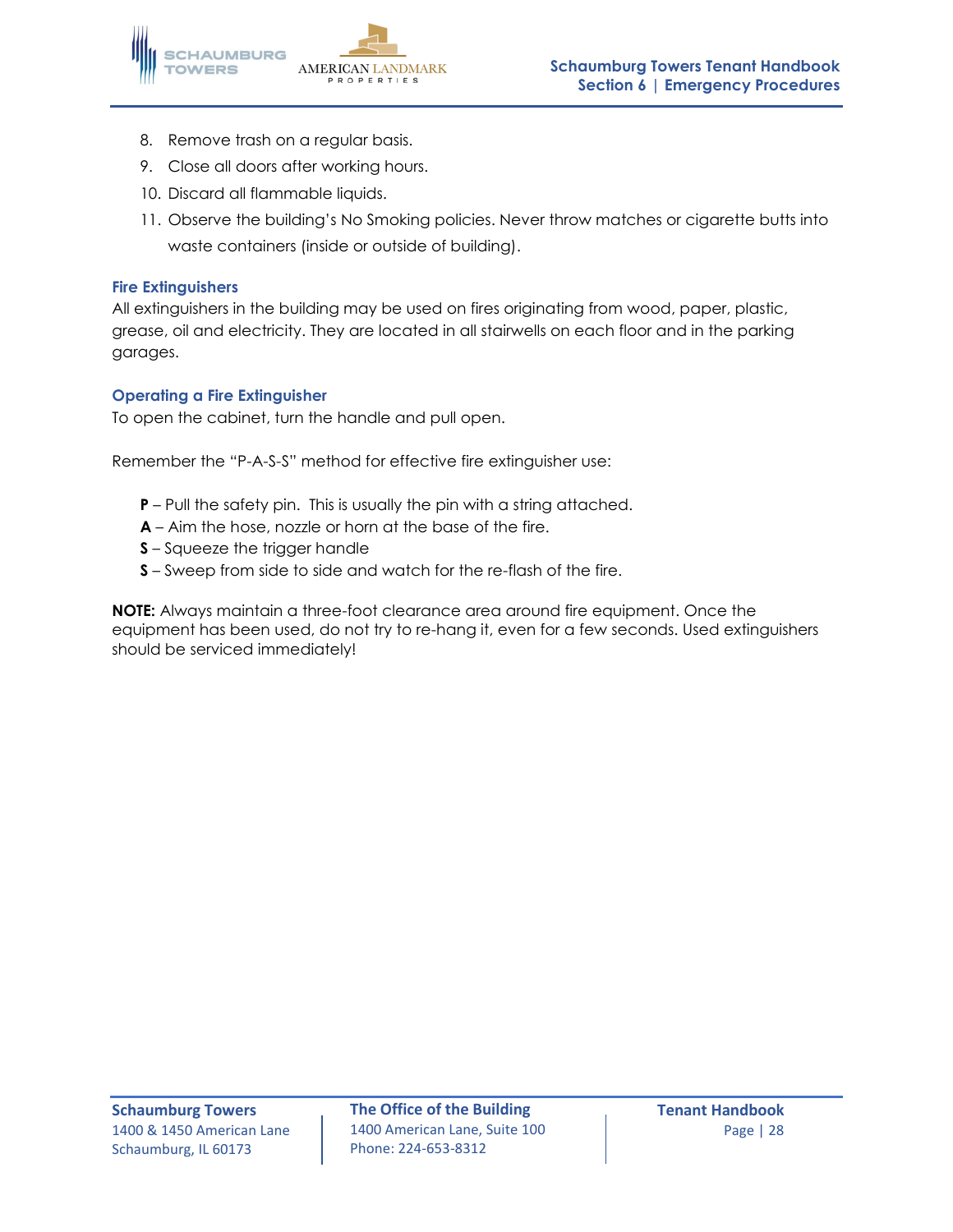

- 8. Remove trash on a regular basis.
- 9. Close all doors after working hours.
- 10. Discard all flammable liquids.
- 11. Observe the building's No Smoking policies. Never throw matches or cigarette butts into waste containers (inside or outside of building).

#### **Fire Extinguishers**

All extinguishers in the building may be used on fires originating from wood, paper, plastic, grease, oil and electricity. They are located in all stairwells on each floor and in the parking garages.

### **Operating a Fire Extinguisher**

To open the cabinet, turn the handle and pull open.

Remember the "P-A-S-S" method for effective fire extinguisher use:

- **P** Pull the safety pin. This is usually the pin with a string attached.
- **A** Aim the hose, nozzle or horn at the base of the fire.
- **S** Squeeze the trigger handle
- **S** Sweep from side to side and watch for the re-flash of the fire.

**NOTE:** Always maintain a three-foot clearance area around fire equipment. Once the equipment has been used, do not try to re-hang it, even for a few seconds. Used extinguishers should be serviced immediately!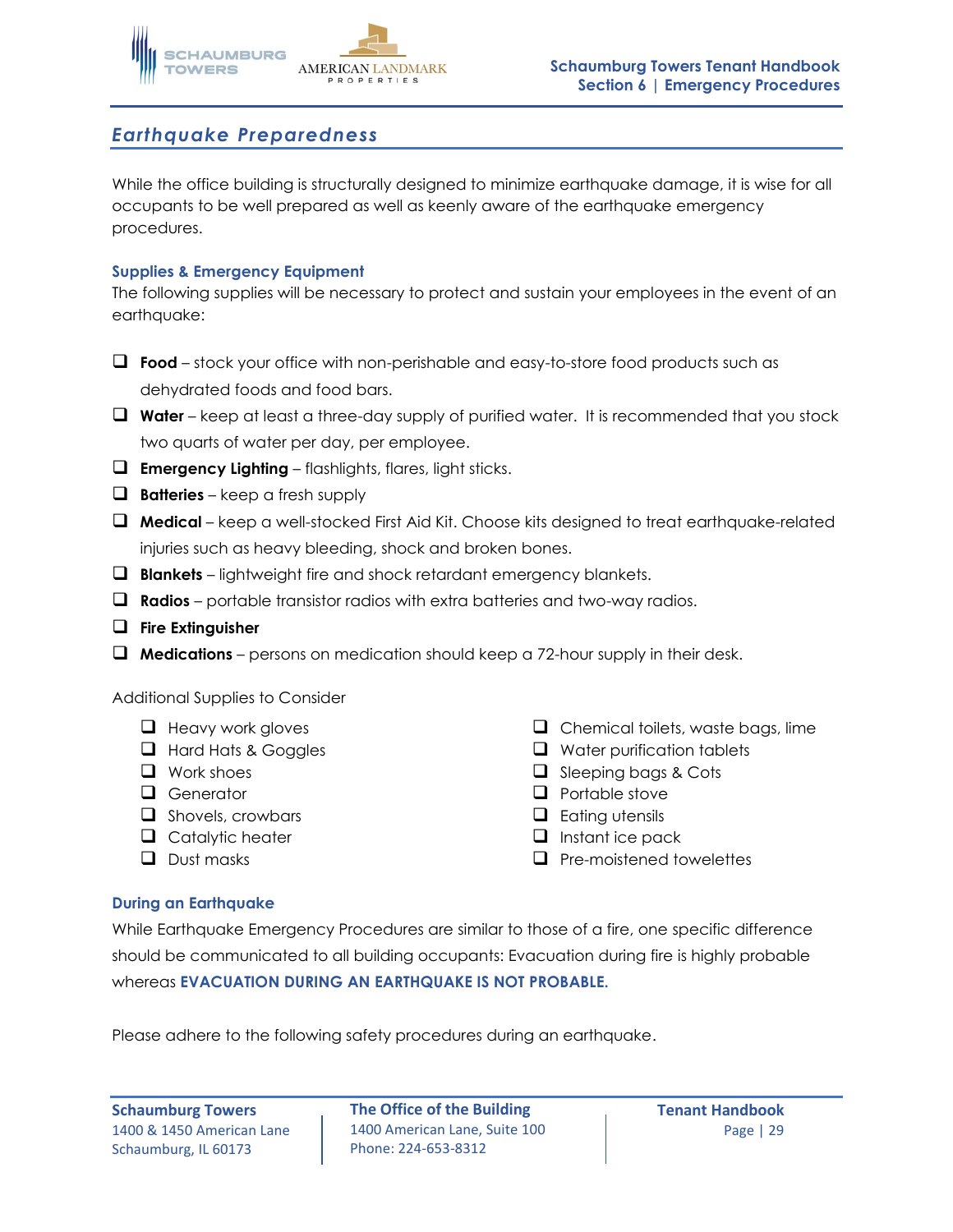

### *Earthquake Preparedness*

While the office building is structurally designed to minimize earthquake damage, it is wise for all occupants to be well prepared as well as keenly aware of the earthquake emergency procedures.

### **Supplies & Emergency Equipment**

The following supplies will be necessary to protect and sustain your employees in the event of an earthquake:

- ❑ **Food**  stock your office with non-perishable and easy-to-store food products such as dehydrated foods and food bars.
- ❑ **Water** keep at least a three-day supply of purified water. It is recommended that you stock two quarts of water per day, per employee.
- ❑ **Emergency Lighting** flashlights, flares, light sticks.
- ❑ **Batteries** keep a fresh supply
- ❑ **Medical** keep a well-stocked First Aid Kit. Choose kits designed to treat earthquake-related injuries such as heavy bleeding, shock and broken bones.
- ❑ **Blankets** lightweight fire and shock retardant emergency blankets.
- ❑ **Radios** portable transistor radios with extra batteries and two-way radios.
- ❑ **Fire Extinguisher**
- ❑ **Medications** persons on medication should keep a 72-hour supply in their desk.

#### Additional Supplies to Consider

- ❑ Heavy work gloves
- ❑ Hard Hats & Goggles
- ❑ Work shoes
- ❑ Generator
- ❑ Shovels, crowbars
- ❑ Catalytic heater
- ❑ Dust masks
- ❑ Chemical toilets, waste bags, lime
- ❑ Water purification tablets
- ❑ Sleeping bags & Cots
- ❑ Portable stove
- ❑ Eating utensils
- ❑ Instant ice pack
- ❑ Pre-moistened towelettes

#### **During an Earthquake**

While Earthquake Emergency Procedures are similar to those of a fire, one specific difference should be communicated to all building occupants: Evacuation during fire is highly probable whereas **EVACUATION DURING AN EARTHQUAKE IS NOT PROBABLE.**

Please adhere to the following safety procedures during an earthquake.

Schaumburg, IL 60173

**Schaumburg Towers The Office of the Building Tenant Handbook** 1400 & 1450 American Lane | 1400 American Lane, Suite 100 | North Lange | 29 Phone: 224-653-8312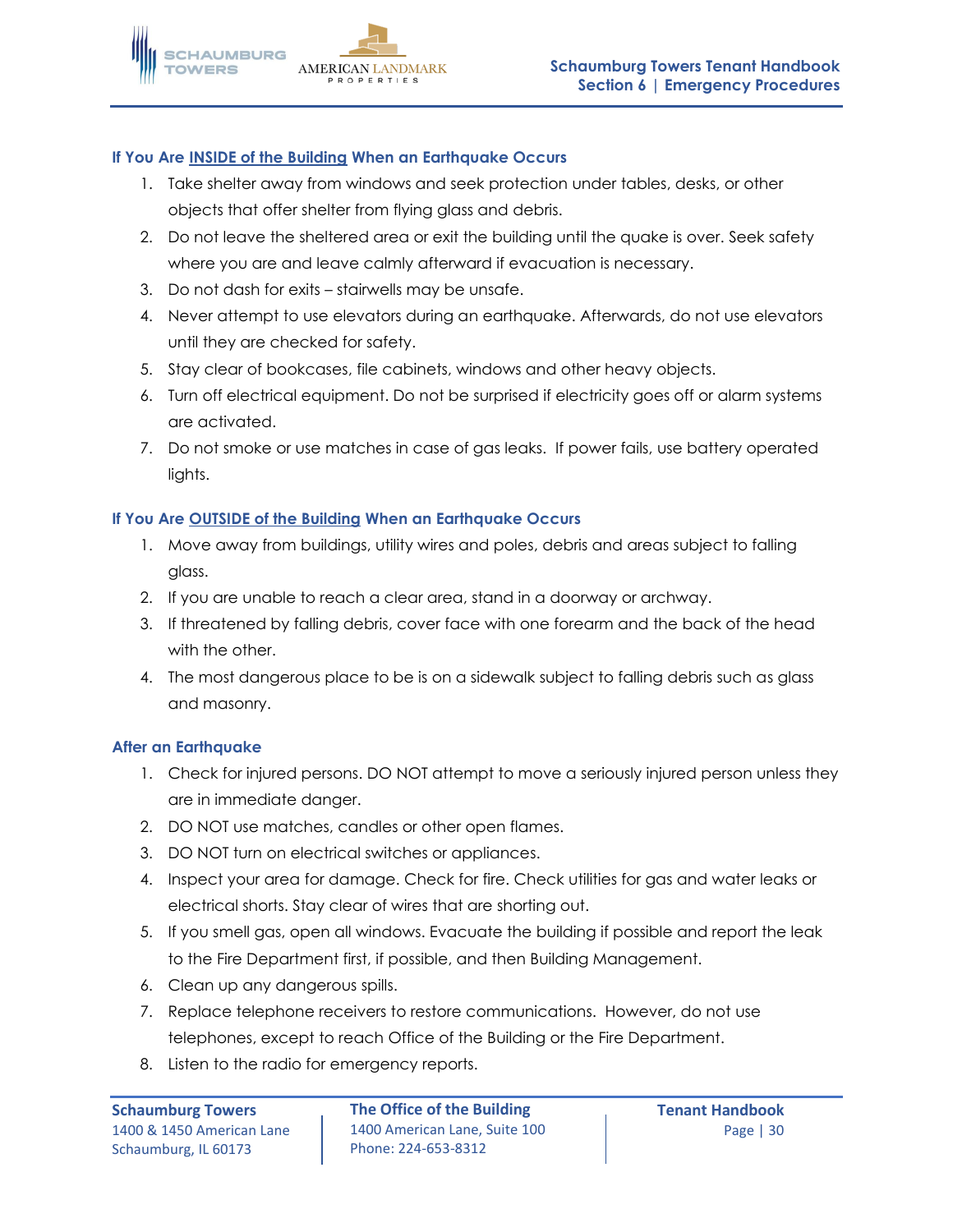### **If You Are INSIDE of the Building When an Earthquake Occurs**

- 1. Take shelter away from windows and seek protection under tables, desks, or other objects that offer shelter from flying glass and debris.
- 2. Do not leave the sheltered area or exit the building until the quake is over. Seek safety where you are and leave calmly afterward if evacuation is necessary.
- 3. Do not dash for exits stairwells may be unsafe.
- 4. Never attempt to use elevators during an earthquake. Afterwards, do not use elevators until they are checked for safety.
- 5. Stay clear of bookcases, file cabinets, windows and other heavy objects.
- 6. Turn off electrical equipment. Do not be surprised if electricity goes off or alarm systems are activated.
- 7. Do not smoke or use matches in case of gas leaks. If power fails, use battery operated lights.

### **If You Are OUTSIDE of the Building When an Earthquake Occurs**

- 1. Move away from buildings, utility wires and poles, debris and areas subject to falling glass.
- 2. If you are unable to reach a clear area, stand in a doorway or archway.
- 3. If threatened by falling debris, cover face with one forearm and the back of the head with the other.
- 4. The most dangerous place to be is on a sidewalk subject to falling debris such as glass and masonry.

### **After an Earthquake**

- 1. Check for injured persons. DO NOT attempt to move a seriously injured person unless they are in immediate danger.
- 2. DO NOT use matches, candles or other open flames.
- 3. DO NOT turn on electrical switches or appliances.
- 4. Inspect your area for damage. Check for fire. Check utilities for gas and water leaks or electrical shorts. Stay clear of wires that are shorting out.
- 5. If you smell gas, open all windows. Evacuate the building if possible and report the leak to the Fire Department first, if possible, and then Building Management.
- 6. Clean up any dangerous spills.
- 7. Replace telephone receivers to restore communications. However, do not use telephones, except to reach Office of the Building or the Fire Department.
- 8. Listen to the radio for emergency reports.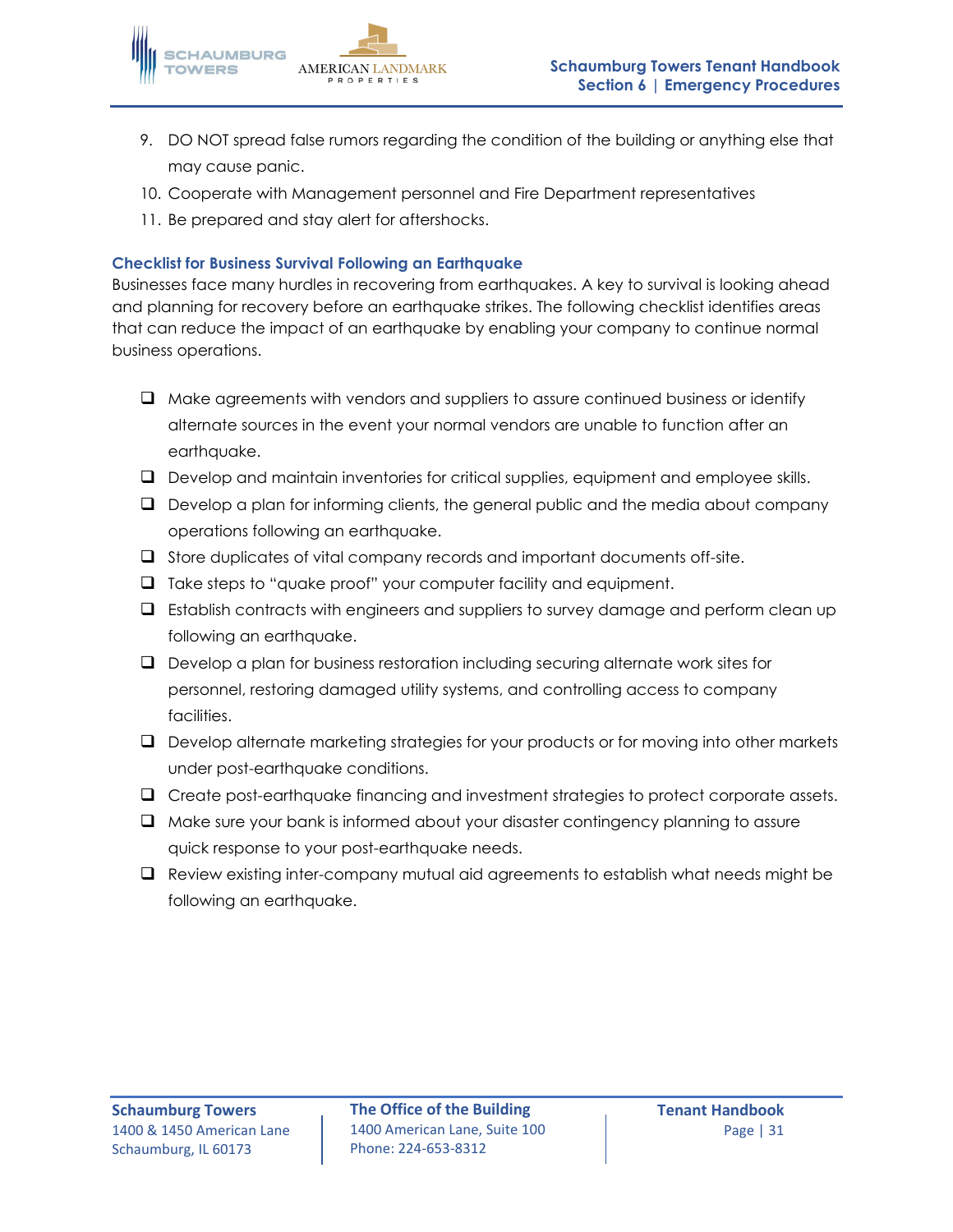

- 9. DO NOT spread false rumors regarding the condition of the building or anything else that may cause panic.
- 10. Cooperate with Management personnel and Fire Department representatives
- 11. Be prepared and stay alert for aftershocks.

### **Checklist for Business Survival Following an Earthquake**

Businesses face many hurdles in recovering from earthquakes. A key to survival is looking ahead and planning for recovery before an earthquake strikes. The following checklist identifies areas that can reduce the impact of an earthquake by enabling your company to continue normal business operations.

- ❑ Make agreements with vendors and suppliers to assure continued business or identify alternate sources in the event your normal vendors are unable to function after an earthquake.
- ❑ Develop and maintain inventories for critical supplies, equipment and employee skills.
- ❑ Develop a plan for informing clients, the general public and the media about company operations following an earthquake.
- ❑ Store duplicates of vital company records and important documents off-site.
- ❑ Take steps to "quake proof" your computer facility and equipment.
- ❑ Establish contracts with engineers and suppliers to survey damage and perform clean up following an earthquake.
- ❑ Develop a plan for business restoration including securing alternate work sites for personnel, restoring damaged utility systems, and controlling access to company facilities.
- ❑ Develop alternate marketing strategies for your products or for moving into other markets under post-earthquake conditions.
- ❑ Create post-earthquake financing and investment strategies to protect corporate assets.
- ❑ Make sure your bank is informed about your disaster contingency planning to assure quick response to your post-earthquake needs.
- ❑ Review existing inter-company mutual aid agreements to establish what needs might be following an earthquake.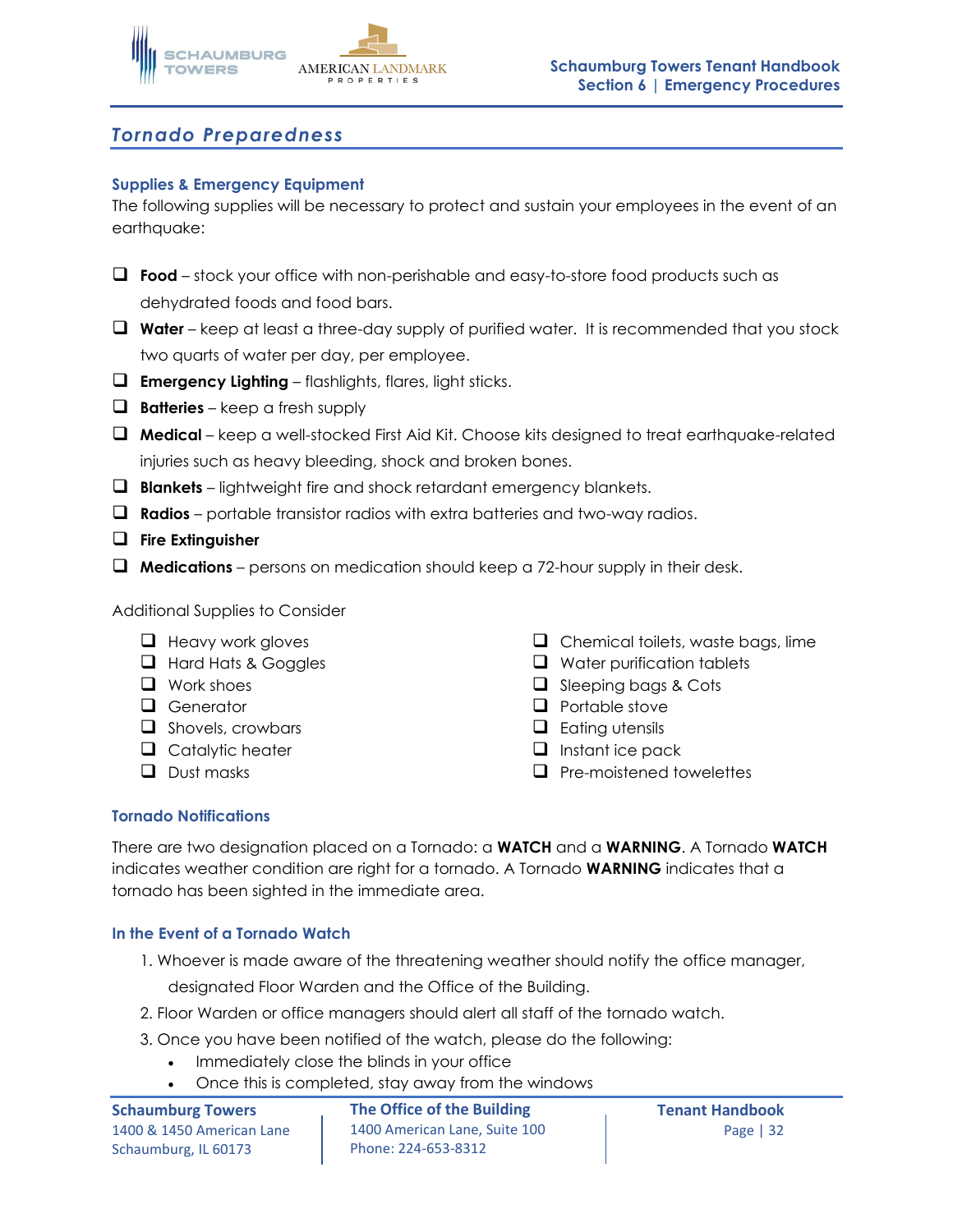

# *Tornado Preparedness*

### **Supplies & Emergency Equipment**

The following supplies will be necessary to protect and sustain your employees in the event of an earthquake:

- ❑ **Food**  stock your office with non-perishable and easy-to-store food products such as dehydrated foods and food bars.
- ❑ **Water** keep at least a three-day supply of purified water. It is recommended that you stock two quarts of water per day, per employee.
- ❑ **Emergency Lighting** flashlights, flares, light sticks.
- ❑ **Batteries** keep a fresh supply
- ❑ **Medical** keep a well-stocked First Aid Kit. Choose kits designed to treat earthquake-related injuries such as heavy bleeding, shock and broken bones.
- ❑ **Blankets** lightweight fire and shock retardant emergency blankets.
- ❑ **Radios** portable transistor radios with extra batteries and two-way radios.
- ❑ **Fire Extinguisher**
- ❑ **Medications** persons on medication should keep a 72-hour supply in their desk.

Additional Supplies to Consider

- ❑ Heavy work gloves
- ❑ Hard Hats & Goggles
- ❑ Work shoes
- ❑ Generator
- ❑ Shovels, crowbars
- ❑ Catalytic heater
- ❑ Dust masks
- ❑ Chemical toilets, waste bags, lime
- ❑ Water purification tablets
- ❑ Sleeping bags & Cots
- ❑ Portable stove
- ❑ Eating utensils
- ❑ Instant ice pack
- ❑ Pre-moistened towelettes

### **Tornado Notifications**

There are two designation placed on a Tornado: a **WATCH** and a **WARNING**. A Tornado **WATCH** indicates weather condition are right for a tornado. A Tornado **WARNING** indicates that a tornado has been sighted in the immediate area.

### **In the Event of a Tornado Watch**

1. Whoever is made aware of the threatening weather should notify the office manager,

designated Floor Warden and the Office of the Building.

- 2. Floor Warden or office managers should alert all staff of the tornado watch.
- 3. Once you have been notified of the watch, please do the following:
	- Immediately close the blinds in your office
	- Once this is completed, stay away from the windows

Schaumburg, IL 60173

**Schaumburg Towers The Office of the Building Tenant Handbook** 1400 & 1450 American Lane | 1400 American Lane, Suite 100 | Page | 32 Phone: 224-653-8312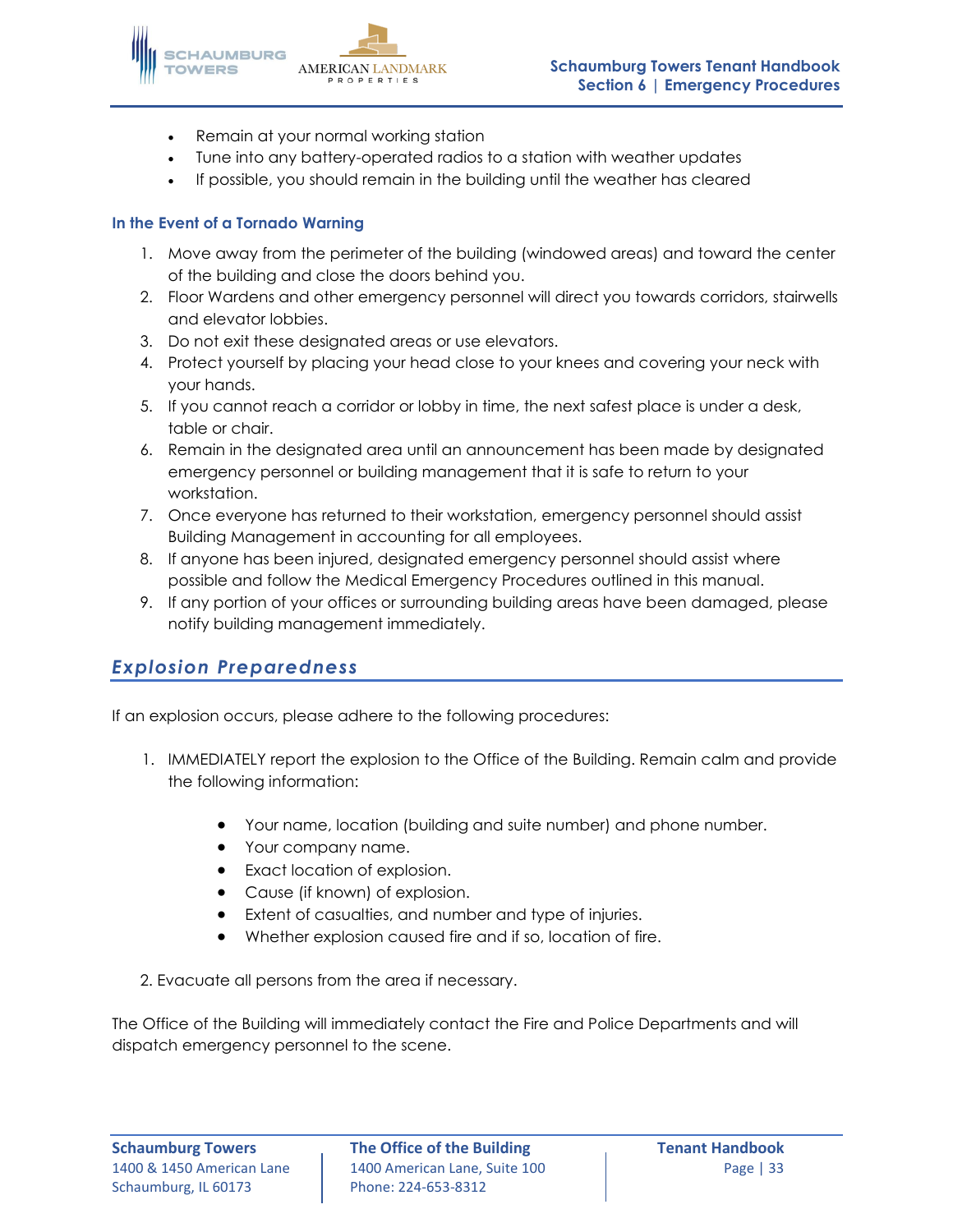

- Remain at your normal working station
- Tune into any battery-operated radios to a station with weather updates
- If possible, you should remain in the building until the weather has cleared

### **In the Event of a Tornado Warning**

- 1. Move away from the perimeter of the building (windowed areas) and toward the center of the building and close the doors behind you.
- 2. Floor Wardens and other emergency personnel will direct you towards corridors, stairwells and elevator lobbies.
- 3. Do not exit these designated areas or use elevators.
- 4. Protect yourself by placing your head close to your knees and covering your neck with your hands.
- 5. If you cannot reach a corridor or lobby in time, the next safest place is under a desk, table or chair.
- 6. Remain in the designated area until an announcement has been made by designated emergency personnel or building management that it is safe to return to your workstation.
- 7. Once everyone has returned to their workstation, emergency personnel should assist Building Management in accounting for all employees.
- 8. If anyone has been injured, designated emergency personnel should assist where possible and follow the Medical Emergency Procedures outlined in this manual.
- 9. If any portion of your offices or surrounding building areas have been damaged, please notify building management immediately.

# *Explosion Preparedness*

If an explosion occurs, please adhere to the following procedures:

- 1. IMMEDIATELY report the explosion to the Office of the Building. Remain calm and provide the following information:
	- Your name, location (building and suite number) and phone number.
	- Your company name.
	- Exact location of explosion.
	- Cause (if known) of explosion.
	- Extent of casualties, and number and type of injuries.
	- Whether explosion caused fire and if so, location of fire.
- 2. Evacuate all persons from the area if necessary.

The Office of the Building will immediately contact the Fire and Police Departments and will dispatch emergency personnel to the scene.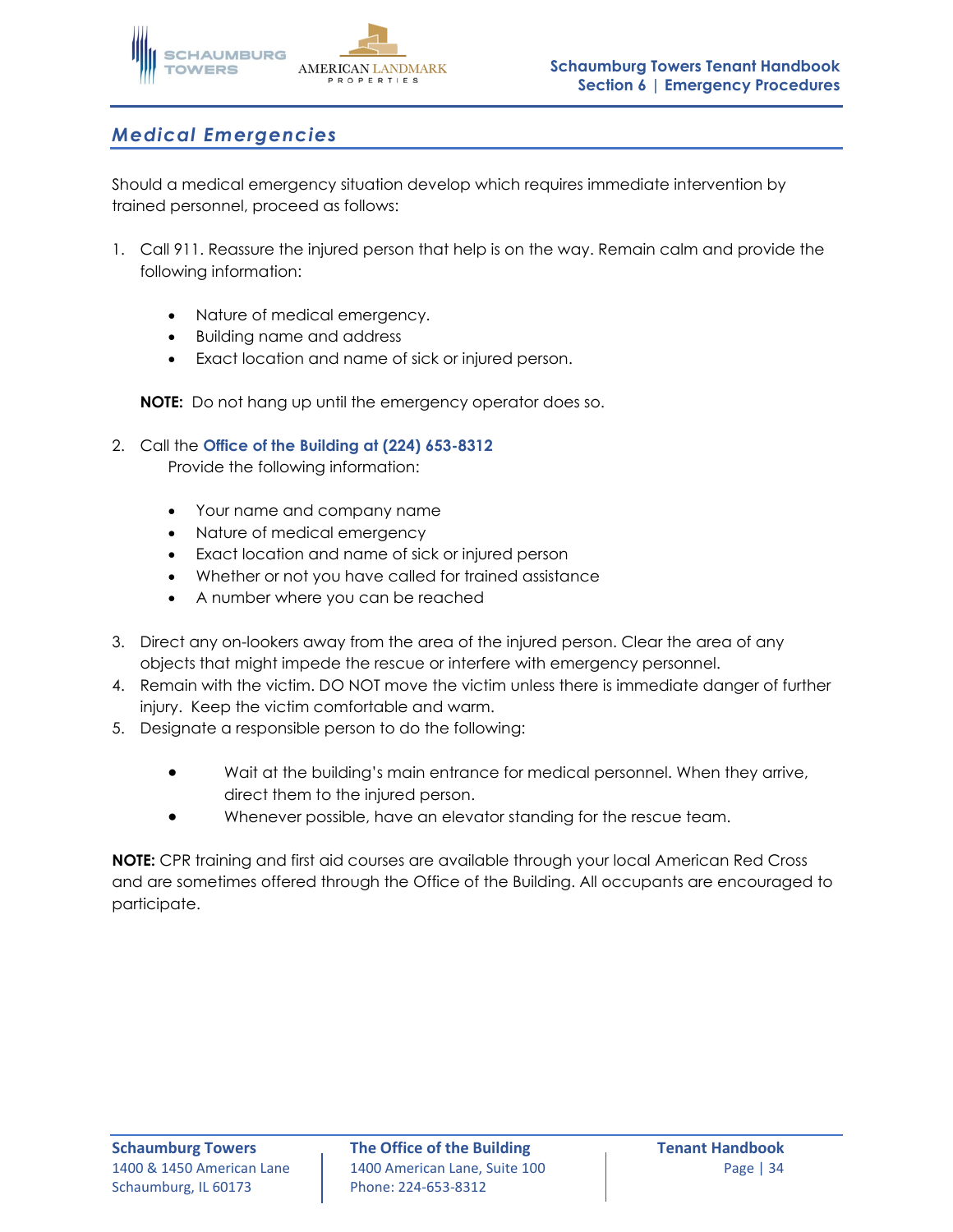

# *Medical Emergencies*

Should a medical emergency situation develop which requires immediate intervention by trained personnel, proceed as follows:

- 1. Call 911. Reassure the injured person that help is on the way. Remain calm and provide the following information:
	- Nature of medical emergency.
	- Building name and address
	- Exact location and name of sick or injured person.

**NOTE:** Do not hang up until the emergency operator does so.

### 2. Call the **Office of the Building at (224) 653-8312**

Provide the following information:

- Your name and company name
- Nature of medical emergency
- Exact location and name of sick or injured person
- Whether or not you have called for trained assistance
- A number where you can be reached
- 3. Direct any on-lookers away from the area of the injured person. Clear the area of any objects that might impede the rescue or interfere with emergency personnel.
- 4. Remain with the victim. DO NOT move the victim unless there is immediate danger of further injury. Keep the victim comfortable and warm.
- 5. Designate a responsible person to do the following:
	- Wait at the building's main entrance for medical personnel. When they arrive, direct them to the injured person.
	- Whenever possible, have an elevator standing for the rescue team.

**NOTE:** CPR training and first aid courses are available through your local American Red Cross and are sometimes offered through the Office of the Building. All occupants are encouraged to participate.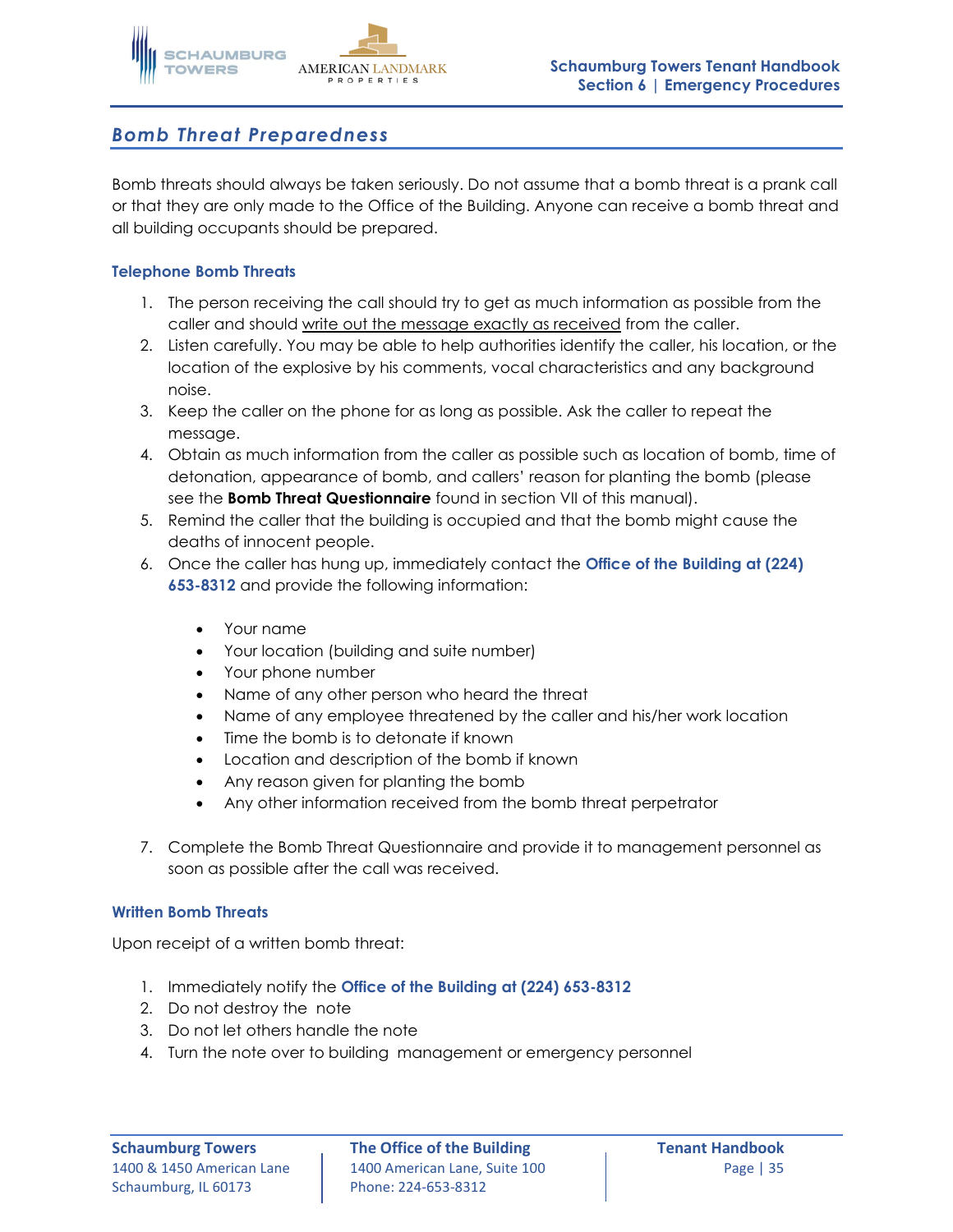

# *Bomb Threat Preparedness*

Bomb threats should always be taken seriously. Do not assume that a bomb threat is a prank call or that they are only made to the Office of the Building. Anyone can receive a bomb threat and all building occupants should be prepared.

### **Telephone Bomb Threats**

- 1. The person receiving the call should try to get as much information as possible from the caller and should write out the message exactly as received from the caller.
- 2. Listen carefully. You may be able to help authorities identify the caller, his location, or the location of the explosive by his comments, vocal characteristics and any background noise.
- 3. Keep the caller on the phone for as long as possible. Ask the caller to repeat the message.
- 4. Obtain as much information from the caller as possible such as location of bomb, time of detonation, appearance of bomb, and callers' reason for planting the bomb (please see the **Bomb Threat Questionnaire** found in section VII of this manual).
- 5. Remind the caller that the building is occupied and that the bomb might cause the deaths of innocent people.
- 6. Once the caller has hung up, immediately contact the **Office of the Building at (224) 653-8312** and provide the following information:
	- Your name
	- Your location (building and suite number)
	- Your phone number
	- Name of any other person who heard the threat
	- Name of any employee threatened by the caller and his/her work location
	- Time the bomb is to detonate if known
	- Location and description of the bomb if known
	- Any reason given for planting the bomb
	- Any other information received from the bomb threat perpetrator
- 7. Complete the Bomb Threat Questionnaire and provide it to management personnel as soon as possible after the call was received.

### **Written Bomb Threats**

Upon receipt of a written bomb threat:

- 1. Immediately notify the **Office of the Building at (224) 653-8312**
- 2. Do not destroy the note
- 3. Do not let others handle the note
- 4. Turn the note over to building management or emergency personnel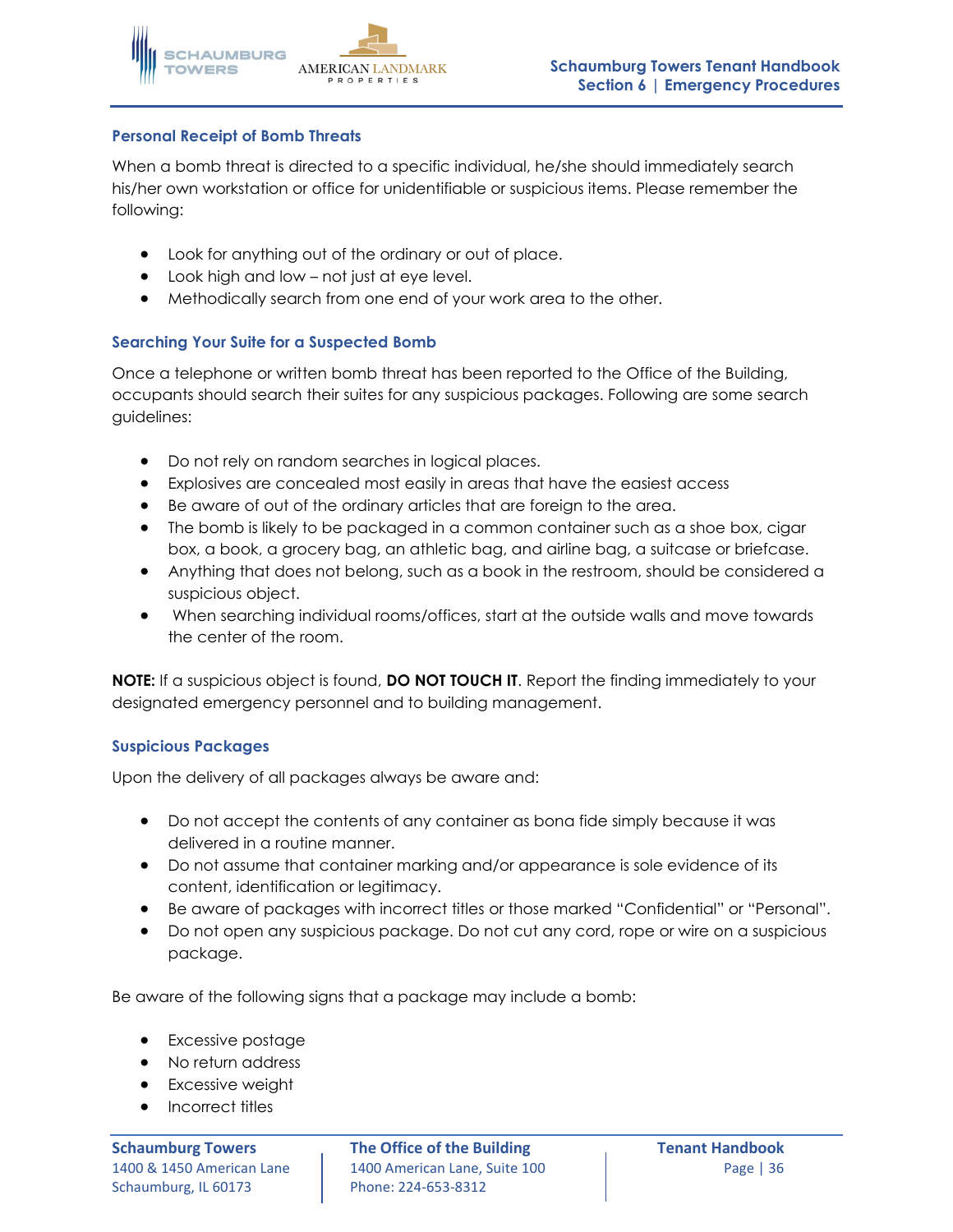

### **Personal Receipt of Bomb Threats**

When a bomb threat is directed to a specific individual, he/she should immediately search his/her own workstation or office for unidentifiable or suspicious items. Please remember the following:

- Look for anything out of the ordinary or out of place.
- Look high and low not just at eye level.
- Methodically search from one end of your work area to the other.

### **Searching Your Suite for a Suspected Bomb**

Once a telephone or written bomb threat has been reported to the Office of the Building, occupants should search their suites for any suspicious packages. Following are some search guidelines:

- Do not rely on random searches in logical places.
- Explosives are concealed most easily in areas that have the easiest access
- Be aware of out of the ordinary articles that are foreign to the area.
- The bomb is likely to be packaged in a common container such as a shoe box, cigar box, a book, a grocery bag, an athletic bag, and airline bag, a suitcase or briefcase.
- Anything that does not belong, such as a book in the restroom, should be considered a suspicious object.
- When searching individual rooms/offices, start at the outside walls and move towards the center of the room.

**NOTE:** If a suspicious object is found, **DO NOT TOUCH IT**. Report the finding immediately to your designated emergency personnel and to building management.

### **Suspicious Packages**

Upon the delivery of all packages always be aware and:

- Do not accept the contents of any container as bona fide simply because it was delivered in a routine manner.
- Do not assume that container marking and/or appearance is sole evidence of its content, identification or legitimacy.
- Be aware of packages with incorrect titles or those marked "Confidential" or "Personal".
- Do not open any suspicious package. Do not cut any cord, rope or wire on a suspicious package.

Be aware of the following signs that a package may include a bomb:

- Excessive postage
- No return address
- Excessive weight
- Incorrect titles

**Schaumburg Towers The Office of the Building Tenant Handbook** 1400 & 1450 American Lane | 1400 American Lane, Suite 100 | Page | 36 Phone: 224-653-8312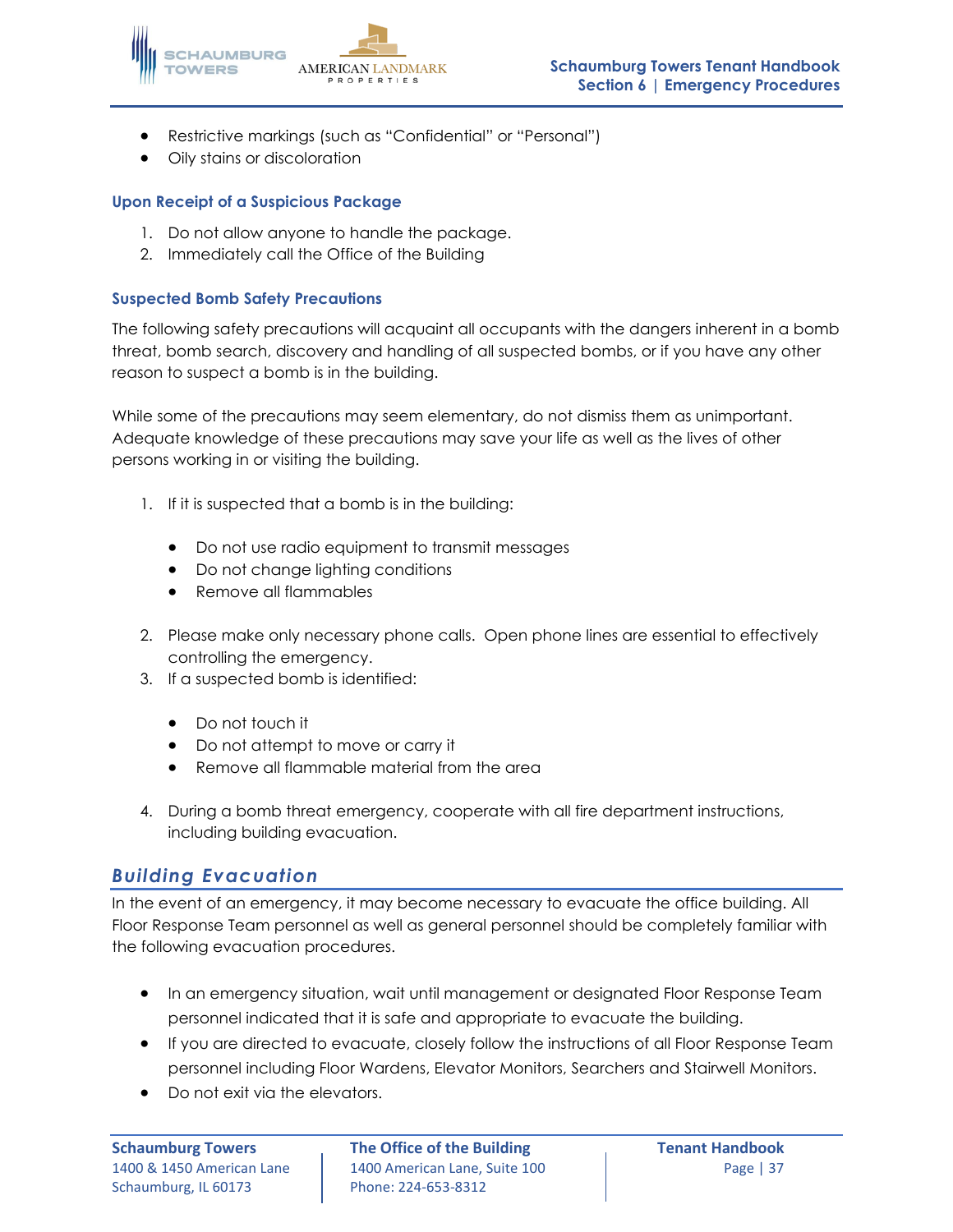

- Restrictive markings (such as "Confidential" or "Personal")
- Oily stains or discoloration

### **Upon Receipt of a Suspicious Package**

- 1. Do not allow anyone to handle the package.
- 2. Immediately call the Office of the Building

### **Suspected Bomb Safety Precautions**

The following safety precautions will acquaint all occupants with the dangers inherent in a bomb threat, bomb search, discovery and handling of all suspected bombs, or if you have any other reason to suspect a bomb is in the building.

While some of the precautions may seem elementary, do not dismiss them as unimportant. Adequate knowledge of these precautions may save your life as well as the lives of other persons working in or visiting the building.

- 1. If it is suspected that a bomb is in the building:
	- Do not use radio equipment to transmit messages
	- Do not change lighting conditions
	- Remove all flammables
- 2. Please make only necessary phone calls. Open phone lines are essential to effectively controlling the emergency.
- 3. If a suspected bomb is identified:
	- Do not touch it
	- Do not attempt to move or carry it
	- Remove all flammable material from the area
- 4. During a bomb threat emergency, cooperate with all fire department instructions, including building evacuation.

### *Building Evacuation*

In the event of an emergency, it may become necessary to evacuate the office building. All Floor Response Team personnel as well as general personnel should be completely familiar with the following evacuation procedures.

- In an emergency situation, wait until management or designated Floor Response Team personnel indicated that it is safe and appropriate to evacuate the building.
- If you are directed to evacuate, closely follow the instructions of all Floor Response Team personnel including Floor Wardens, Elevator Monitors, Searchers and Stairwell Monitors.
- Do not exit via the elevators.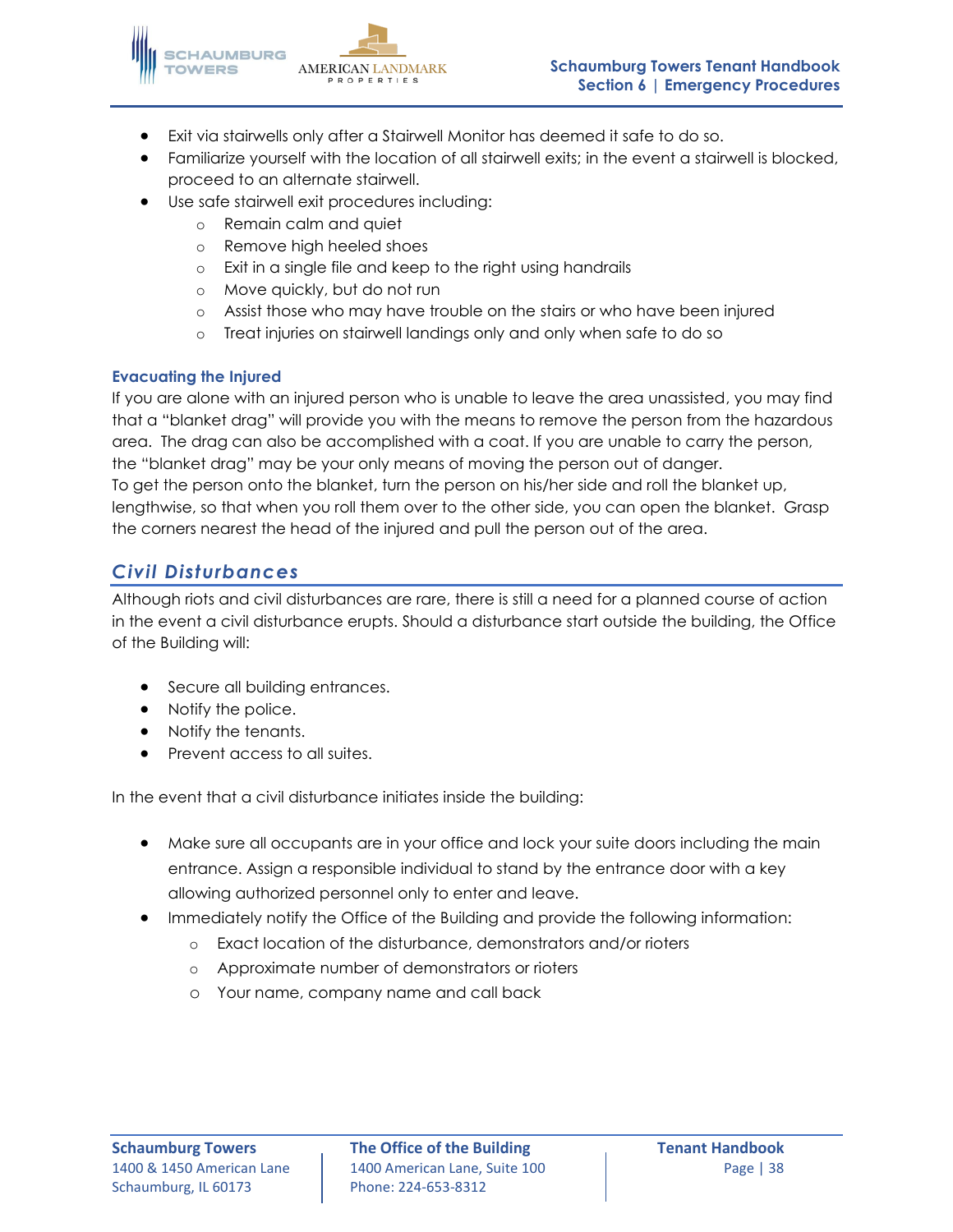

- Exit via stairwells only after a Stairwell Monitor has deemed it safe to do so.
- Familiarize yourself with the location of all stairwell exits; in the event a stairwell is blocked, proceed to an alternate stairwell.
- Use safe stairwell exit procedures including:
	- o Remain calm and quiet
	- o Remove high heeled shoes
	- o Exit in a single file and keep to the right using handrails
	- o Move quickly, but do not run
	- o Assist those who may have trouble on the stairs or who have been injured
	- o Treat injuries on stairwell landings only and only when safe to do so

### **Evacuating the Injured**

If you are alone with an injured person who is unable to leave the area unassisted, you may find that a "blanket drag" will provide you with the means to remove the person from the hazardous area. The drag can also be accomplished with a coat. If you are unable to carry the person, the "blanket drag" may be your only means of moving the person out of danger. To get the person onto the blanket, turn the person on his/her side and roll the blanket up, lengthwise, so that when you roll them over to the other side, you can open the blanket. Grasp the corners nearest the head of the injured and pull the person out of the area.

# *Civil Disturbances*

Although riots and civil disturbances are rare, there is still a need for a planned course of action in the event a civil disturbance erupts. Should a disturbance start outside the building, the Office of the Building will:

- Secure all building entrances.
- Notify the police.
- Notify the tenants.
- Prevent access to all suites.

In the event that a civil disturbance initiates inside the building:

- Make sure all occupants are in your office and lock your suite doors including the main entrance. Assign a responsible individual to stand by the entrance door with a key allowing authorized personnel only to enter and leave.
- Immediately notify the Office of the Building and provide the following information:
	- o Exact location of the disturbance, demonstrators and/or rioters
	- o Approximate number of demonstrators or rioters
	- o Your name, company name and call back